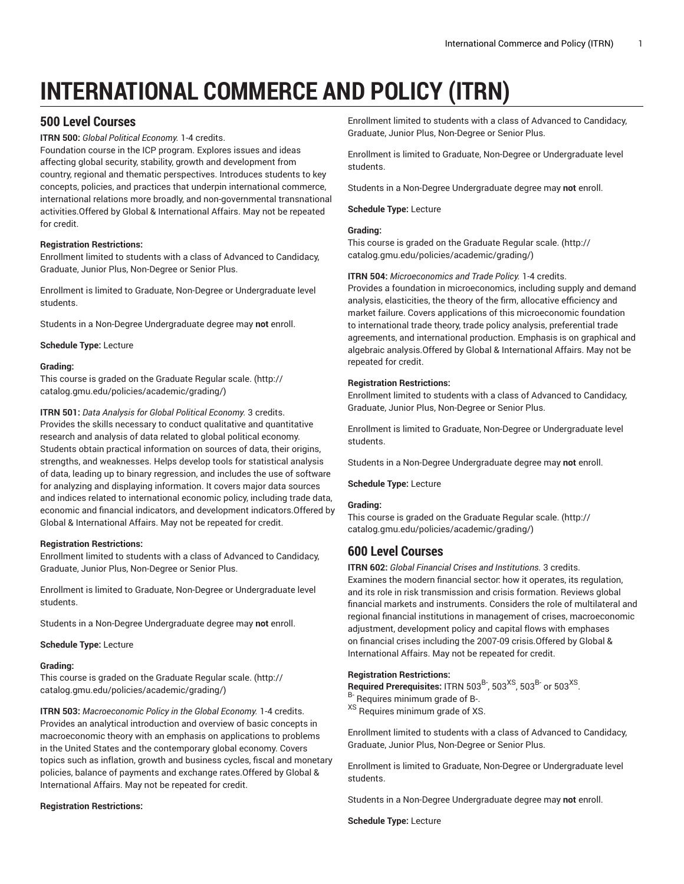# **INTERNATIONAL COMMERCE AND POLICY (ITRN)**

# **500 Level Courses**

**ITRN 500:** *Global Political Economy.* 1-4 credits.

Foundation course in the ICP program. Explores issues and ideas affecting global security, stability, growth and development from country, regional and thematic perspectives. Introduces students to key concepts, policies, and practices that underpin international commerce, international relations more broadly, and non-governmental transnational activities.Offered by Global & International Affairs. May not be repeated for credit.

## **Registration Restrictions:**

Enrollment limited to students with a class of Advanced to Candidacy, Graduate, Junior Plus, Non-Degree or Senior Plus.

Enrollment is limited to Graduate, Non-Degree or Undergraduate level students.

Students in a Non-Degree Undergraduate degree may **not** enroll.

**Schedule Type:** Lecture

## **Grading:**

This course is graded on the [Graduate Regular scale.](http://catalog.gmu.edu/policies/academic/grading/) [\(http://](http://catalog.gmu.edu/policies/academic/grading/) [catalog.gmu.edu/policies/academic/grading/\)](http://catalog.gmu.edu/policies/academic/grading/)

**ITRN 501:** *Data Analysis for Global Political Economy.* 3 credits. Provides the skills necessary to conduct qualitative and quantitative research and analysis of data related to global political economy. Students obtain practical information on sources of data, their origins, strengths, and weaknesses. Helps develop tools for statistical analysis of data, leading up to binary regression, and includes the use of software for analyzing and displaying information. It covers major data sources and indices related to international economic policy, including trade data, economic and financial indicators, and development indicators.Offered by Global & International Affairs. May not be repeated for credit.

## **Registration Restrictions:**

Enrollment limited to students with a class of Advanced to Candidacy, Graduate, Junior Plus, Non-Degree or Senior Plus.

Enrollment is limited to Graduate, Non-Degree or Undergraduate level students.

Students in a Non-Degree Undergraduate degree may **not** enroll.

**Schedule Type:** Lecture

## **Grading:**

This course is graded on the [Graduate Regular scale.](http://catalog.gmu.edu/policies/academic/grading/) [\(http://](http://catalog.gmu.edu/policies/academic/grading/) [catalog.gmu.edu/policies/academic/grading/\)](http://catalog.gmu.edu/policies/academic/grading/)

**ITRN 503:** *Macroeconomic Policy in the Global Economy.* 1-4 credits. Provides an analytical introduction and overview of basic concepts in macroeconomic theory with an emphasis on applications to problems in the United States and the contemporary global economy. Covers topics such as inflation, growth and business cycles, fiscal and monetary policies, balance of payments and exchange rates.Offered by Global & International Affairs. May not be repeated for credit.

## **Registration Restrictions:**

Enrollment limited to students with a class of Advanced to Candidacy, Graduate, Junior Plus, Non-Degree or Senior Plus.

Enrollment is limited to Graduate, Non-Degree or Undergraduate level students.

Students in a Non-Degree Undergraduate degree may **not** enroll.

**Schedule Type:** Lecture

## **Grading:**

This course is graded on the [Graduate Regular scale.](http://catalog.gmu.edu/policies/academic/grading/) ([http://](http://catalog.gmu.edu/policies/academic/grading/) [catalog.gmu.edu/policies/academic/grading/](http://catalog.gmu.edu/policies/academic/grading/))

## **ITRN 504:** *Microeconomics and Trade Policy.* 1-4 credits.

Provides a foundation in microeconomics, including supply and demand analysis, elasticities, the theory of the firm, allocative efficiency and market failure. Covers applications of this microeconomic foundation to international trade theory, trade policy analysis, preferential trade agreements, and international production. Emphasis is on graphical and algebraic analysis.Offered by Global & International Affairs. May not be repeated for credit.

## **Registration Restrictions:**

Enrollment limited to students with a class of Advanced to Candidacy, Graduate, Junior Plus, Non-Degree or Senior Plus.

Enrollment is limited to Graduate, Non-Degree or Undergraduate level students.

Students in a Non-Degree Undergraduate degree may **not** enroll.

**Schedule Type:** Lecture

## **Grading:**

This course is graded on the [Graduate Regular scale.](http://catalog.gmu.edu/policies/academic/grading/) ([http://](http://catalog.gmu.edu/policies/academic/grading/) [catalog.gmu.edu/policies/academic/grading/](http://catalog.gmu.edu/policies/academic/grading/))

## **600 Level Courses**

**ITRN 602:** *Global Financial Crises and Institutions.* 3 credits. Examines the modern financial sector: how it operates, its regulation, and its role in risk transmission and crisis formation. Reviews global financial markets and instruments. Considers the role of multilateral and regional financial institutions in management of crises, macroeconomic adjustment, development policy and capital flows with emphases on financial crises including the 2007-09 crisis.Offered by Global & International Affairs. May not be repeated for credit.

## **Registration Restrictions:**

Required Prerequisites: ITRN 503 $^{\rm B}$ , 503 $^{\rm XS}$ , 503 $^{\rm B}$  or 503 $^{\rm XS}$ . B- Requires minimum grade of B-. XS Requires minimum grade of XS.

Enrollment limited to students with a class of Advanced to Candidacy, Graduate, Junior Plus, Non-Degree or Senior Plus.

Enrollment is limited to Graduate, Non-Degree or Undergraduate level students.

Students in a Non-Degree Undergraduate degree may **not** enroll.

**Schedule Type:** Lecture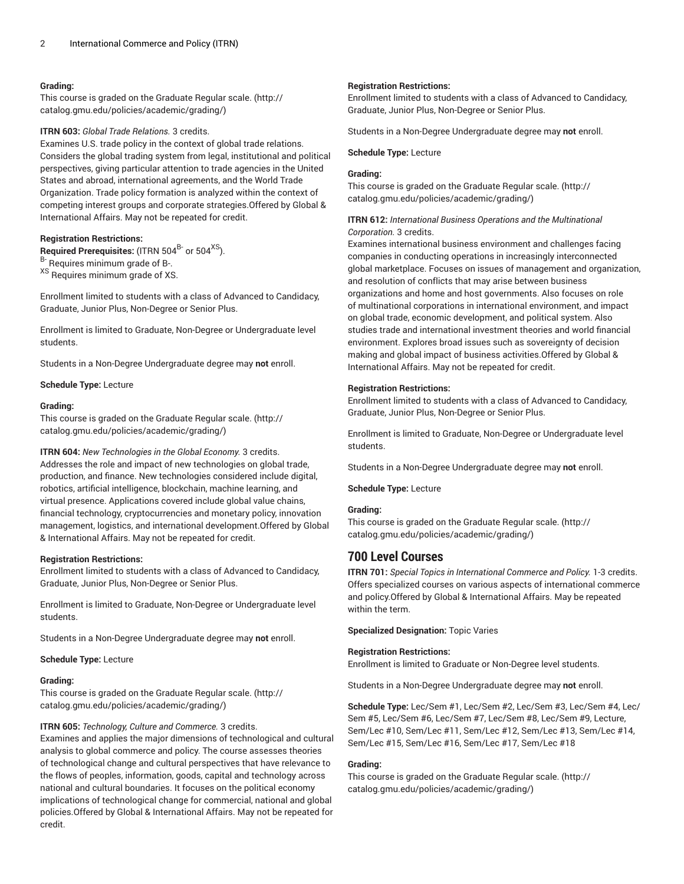## **Grading:**

This course is graded on the [Graduate Regular scale.](http://catalog.gmu.edu/policies/academic/grading/) [\(http://](http://catalog.gmu.edu/policies/academic/grading/) [catalog.gmu.edu/policies/academic/grading/\)](http://catalog.gmu.edu/policies/academic/grading/)

#### **ITRN 603:** *Global Trade Relations.* 3 credits.

Examines U.S. trade policy in the context of global trade relations. Considers the global trading system from legal, institutional and political perspectives, giving particular attention to trade agencies in the United States and abroad, international agreements, and the World Trade Organization. Trade policy formation is analyzed within the context of competing interest groups and corporate strategies.Offered by Global & International Affairs. May not be repeated for credit.

## **Registration Restrictions:**

**Required Prerequisites:** (ITRN 504<sup>B-</sup> or 504<sup>XS</sup>).

B- Requires minimum grade of B-.

XS Requires minimum grade of XS.

Enrollment limited to students with a class of Advanced to Candidacy, Graduate, Junior Plus, Non-Degree or Senior Plus.

Enrollment is limited to Graduate, Non-Degree or Undergraduate level students.

Students in a Non-Degree Undergraduate degree may **not** enroll.

#### **Schedule Type:** Lecture

#### **Grading:**

This course is graded on the [Graduate Regular scale.](http://catalog.gmu.edu/policies/academic/grading/) [\(http://](http://catalog.gmu.edu/policies/academic/grading/) [catalog.gmu.edu/policies/academic/grading/\)](http://catalog.gmu.edu/policies/academic/grading/)

**ITRN 604:** *New Technologies in the Global Economy.* 3 credits. Addresses the role and impact of new technologies on global trade, production, and finance. New technologies considered include digital, robotics, artificial intelligence, blockchain, machine learning, and virtual presence. Applications covered include global value chains, financial technology, cryptocurrencies and monetary policy, innovation management, logistics, and international development.Offered by Global & International Affairs. May not be repeated for credit.

#### **Registration Restrictions:**

Enrollment limited to students with a class of Advanced to Candidacy, Graduate, Junior Plus, Non-Degree or Senior Plus.

Enrollment is limited to Graduate, Non-Degree or Undergraduate level students.

Students in a Non-Degree Undergraduate degree may **not** enroll.

**Schedule Type:** Lecture

#### **Grading:**

This course is graded on the [Graduate Regular scale.](http://catalog.gmu.edu/policies/academic/grading/) [\(http://](http://catalog.gmu.edu/policies/academic/grading/) [catalog.gmu.edu/policies/academic/grading/\)](http://catalog.gmu.edu/policies/academic/grading/)

#### **ITRN 605:** *Technology, Culture and Commerce.* 3 credits.

Examines and applies the major dimensions of technological and cultural analysis to global commerce and policy. The course assesses theories of technological change and cultural perspectives that have relevance to the flows of peoples, information, goods, capital and technology across national and cultural boundaries. It focuses on the political economy implications of technological change for commercial, national and global policies.Offered by Global & International Affairs. May not be repeated for credit.

#### **Registration Restrictions:**

Enrollment limited to students with a class of Advanced to Candidacy, Graduate, Junior Plus, Non-Degree or Senior Plus.

Students in a Non-Degree Undergraduate degree may **not** enroll.

#### **Schedule Type:** Lecture

#### **Grading:**

This course is graded on the [Graduate Regular scale.](http://catalog.gmu.edu/policies/academic/grading/) ([http://](http://catalog.gmu.edu/policies/academic/grading/) [catalog.gmu.edu/policies/academic/grading/](http://catalog.gmu.edu/policies/academic/grading/))

## **ITRN 612:** *International Business Operations and the Multinational Corporation.* 3 credits.

Examines international business environment and challenges facing companies in conducting operations in increasingly interconnected global marketplace. Focuses on issues of management and organization, and resolution of conflicts that may arise between business organizations and home and host governments. Also focuses on role of multinational corporations in international environment, and impact on global trade, economic development, and political system. Also studies trade and international investment theories and world financial environment. Explores broad issues such as sovereignty of decision making and global impact of business activities.Offered by Global & International Affairs. May not be repeated for credit.

#### **Registration Restrictions:**

Enrollment limited to students with a class of Advanced to Candidacy, Graduate, Junior Plus, Non-Degree or Senior Plus.

Enrollment is limited to Graduate, Non-Degree or Undergraduate level students.

Students in a Non-Degree Undergraduate degree may **not** enroll.

**Schedule Type:** Lecture

#### **Grading:**

This course is graded on the [Graduate Regular scale.](http://catalog.gmu.edu/policies/academic/grading/) ([http://](http://catalog.gmu.edu/policies/academic/grading/) [catalog.gmu.edu/policies/academic/grading/](http://catalog.gmu.edu/policies/academic/grading/))

## **700 Level Courses**

**ITRN 701:** *Special Topics in International Commerce and Policy.* 1-3 credits. Offers specialized courses on various aspects of international commerce and policy.Offered by Global & International Affairs. May be repeated within the term.

**Specialized Designation:** Topic Varies

#### **Registration Restrictions:**

Enrollment is limited to Graduate or Non-Degree level students.

Students in a Non-Degree Undergraduate degree may **not** enroll.

**Schedule Type:** Lec/Sem #1, Lec/Sem #2, Lec/Sem #3, Lec/Sem #4, Lec/ Sem #5, Lec/Sem #6, Lec/Sem #7, Lec/Sem #8, Lec/Sem #9, Lecture, Sem/Lec #10, Sem/Lec #11, Sem/Lec #12, Sem/Lec #13, Sem/Lec #14, Sem/Lec #15, Sem/Lec #16, Sem/Lec #17, Sem/Lec #18

#### **Grading:**

This course is graded on the [Graduate Regular scale.](http://catalog.gmu.edu/policies/academic/grading/) ([http://](http://catalog.gmu.edu/policies/academic/grading/) [catalog.gmu.edu/policies/academic/grading/](http://catalog.gmu.edu/policies/academic/grading/))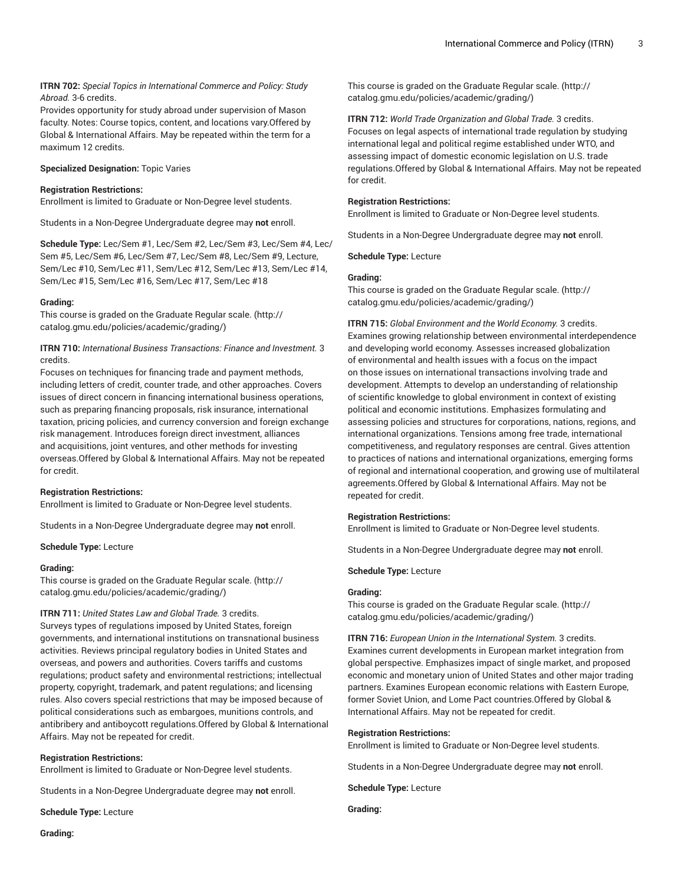## **ITRN 702:** *Special Topics in International Commerce and Policy: Study Abroad.* 3-6 credits.

Provides opportunity for study abroad under supervision of Mason faculty. Notes: Course topics, content, and locations vary.Offered by Global & International Affairs. May be repeated within the term for a maximum 12 credits.

## **Specialized Designation:** Topic Varies

#### **Registration Restrictions:**

Enrollment is limited to Graduate or Non-Degree level students.

Students in a Non-Degree Undergraduate degree may **not** enroll.

**Schedule Type:** Lec/Sem #1, Lec/Sem #2, Lec/Sem #3, Lec/Sem #4, Lec/ Sem #5, Lec/Sem #6, Lec/Sem #7, Lec/Sem #8, Lec/Sem #9, Lecture, Sem/Lec #10, Sem/Lec #11, Sem/Lec #12, Sem/Lec #13, Sem/Lec #14, Sem/Lec #15, Sem/Lec #16, Sem/Lec #17, Sem/Lec #18

#### **Grading:**

This course is graded on the [Graduate Regular scale.](http://catalog.gmu.edu/policies/academic/grading/) [\(http://](http://catalog.gmu.edu/policies/academic/grading/) [catalog.gmu.edu/policies/academic/grading/\)](http://catalog.gmu.edu/policies/academic/grading/)

**ITRN 710:** *International Business Transactions: Finance and Investment.* 3 credits.

Focuses on techniques for financing trade and payment methods, including letters of credit, counter trade, and other approaches. Covers issues of direct concern in financing international business operations, such as preparing financing proposals, risk insurance, international taxation, pricing policies, and currency conversion and foreign exchange risk management. Introduces foreign direct investment, alliances and acquisitions, joint ventures, and other methods for investing overseas.Offered by Global & International Affairs. May not be repeated for credit.

#### **Registration Restrictions:**

Enrollment is limited to Graduate or Non-Degree level students.

Students in a Non-Degree Undergraduate degree may **not** enroll.

**Schedule Type:** Lecture

#### **Grading:**

This course is graded on the [Graduate Regular scale.](http://catalog.gmu.edu/policies/academic/grading/) [\(http://](http://catalog.gmu.edu/policies/academic/grading/) [catalog.gmu.edu/policies/academic/grading/\)](http://catalog.gmu.edu/policies/academic/grading/)

## **ITRN 711:** *United States Law and Global Trade.* 3 credits.

Surveys types of regulations imposed by United States, foreign governments, and international institutions on transnational business activities. Reviews principal regulatory bodies in United States and overseas, and powers and authorities. Covers tariffs and customs regulations; product safety and environmental restrictions; intellectual property, copyright, trademark, and patent regulations; and licensing rules. Also covers special restrictions that may be imposed because of political considerations such as embargoes, munitions controls, and antibribery and antiboycott regulations.Offered by Global & International Affairs. May not be repeated for credit.

## **Registration Restrictions:**

Enrollment is limited to Graduate or Non-Degree level students.

Students in a Non-Degree Undergraduate degree may **not** enroll.

**Schedule Type:** Lecture

This course is graded on the [Graduate Regular scale.](http://catalog.gmu.edu/policies/academic/grading/) ([http://](http://catalog.gmu.edu/policies/academic/grading/) [catalog.gmu.edu/policies/academic/grading/](http://catalog.gmu.edu/policies/academic/grading/))

**ITRN 712:** *World Trade Organization and Global Trade.* 3 credits. Focuses on legal aspects of international trade regulation by studying international legal and political regime established under WTO, and assessing impact of domestic economic legislation on U.S. trade regulations.Offered by Global & International Affairs. May not be repeated for credit.

#### **Registration Restrictions:**

Enrollment is limited to Graduate or Non-Degree level students.

Students in a Non-Degree Undergraduate degree may **not** enroll.

**Schedule Type:** Lecture

#### **Grading:**

This course is graded on the [Graduate Regular scale.](http://catalog.gmu.edu/policies/academic/grading/) ([http://](http://catalog.gmu.edu/policies/academic/grading/) [catalog.gmu.edu/policies/academic/grading/](http://catalog.gmu.edu/policies/academic/grading/))

**ITRN 715:** *Global Environment and the World Economy.* 3 credits. Examines growing relationship between environmental interdependence and developing world economy. Assesses increased globalization of environmental and health issues with a focus on the impact on those issues on international transactions involving trade and development. Attempts to develop an understanding of relationship of scientific knowledge to global environment in context of existing political and economic institutions. Emphasizes formulating and assessing policies and structures for corporations, nations, regions, and international organizations. Tensions among free trade, international competitiveness, and regulatory responses are central. Gives attention to practices of nations and international organizations, emerging forms of regional and international cooperation, and growing use of multilateral agreements.Offered by Global & International Affairs. May not be repeated for credit.

## **Registration Restrictions:**

Enrollment is limited to Graduate or Non-Degree level students.

Students in a Non-Degree Undergraduate degree may **not** enroll.

**Schedule Type:** Lecture

#### **Grading:**

This course is graded on the [Graduate Regular scale.](http://catalog.gmu.edu/policies/academic/grading/) ([http://](http://catalog.gmu.edu/policies/academic/grading/) [catalog.gmu.edu/policies/academic/grading/](http://catalog.gmu.edu/policies/academic/grading/))

**ITRN 716:** *European Union in the International System.* 3 credits. Examines current developments in European market integration from global perspective. Emphasizes impact of single market, and proposed economic and monetary union of United States and other major trading partners. Examines European economic relations with Eastern Europe, former Soviet Union, and Lome Pact countries.Offered by Global & International Affairs. May not be repeated for credit.

#### **Registration Restrictions:**

Enrollment is limited to Graduate or Non-Degree level students.

Students in a Non-Degree Undergraduate degree may **not** enroll.

**Schedule Type:** Lecture

**Grading:**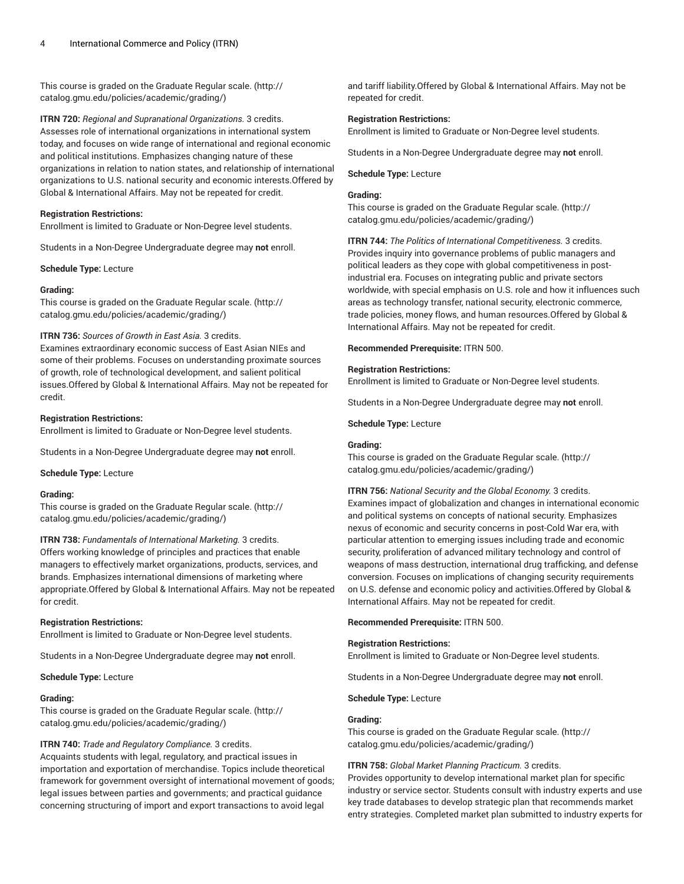This course is graded on the [Graduate Regular scale.](http://catalog.gmu.edu/policies/academic/grading/) [\(http://](http://catalog.gmu.edu/policies/academic/grading/) [catalog.gmu.edu/policies/academic/grading/\)](http://catalog.gmu.edu/policies/academic/grading/)

**ITRN 720:** *Regional and Supranational Organizations.* 3 credits. Assesses role of international organizations in international system today, and focuses on wide range of international and regional economic and political institutions. Emphasizes changing nature of these organizations in relation to nation states, and relationship of international organizations to U.S. national security and economic interests.Offered by Global & International Affairs. May not be repeated for credit.

## **Registration Restrictions:**

Enrollment is limited to Graduate or Non-Degree level students.

Students in a Non-Degree Undergraduate degree may **not** enroll.

**Schedule Type:** Lecture

#### **Grading:**

This course is graded on the [Graduate Regular scale.](http://catalog.gmu.edu/policies/academic/grading/) [\(http://](http://catalog.gmu.edu/policies/academic/grading/) [catalog.gmu.edu/policies/academic/grading/\)](http://catalog.gmu.edu/policies/academic/grading/)

## **ITRN 736:** *Sources of Growth in East Asia.* 3 credits.

Examines extraordinary economic success of East Asian NIEs and some of their problems. Focuses on understanding proximate sources of growth, role of technological development, and salient political issues.Offered by Global & International Affairs. May not be repeated for credit.

#### **Registration Restrictions:**

Enrollment is limited to Graduate or Non-Degree level students.

Students in a Non-Degree Undergraduate degree may **not** enroll.

**Schedule Type:** Lecture

#### **Grading:**

This course is graded on the [Graduate Regular scale.](http://catalog.gmu.edu/policies/academic/grading/) [\(http://](http://catalog.gmu.edu/policies/academic/grading/) [catalog.gmu.edu/policies/academic/grading/\)](http://catalog.gmu.edu/policies/academic/grading/)

**ITRN 738:** *Fundamentals of International Marketing.* 3 credits. Offers working knowledge of principles and practices that enable managers to effectively market organizations, products, services, and brands. Emphasizes international dimensions of marketing where appropriate.Offered by Global & International Affairs. May not be repeated for credit.

## **Registration Restrictions:**

Enrollment is limited to Graduate or Non-Degree level students.

Students in a Non-Degree Undergraduate degree may **not** enroll.

#### **Schedule Type:** Lecture

## **Grading:**

This course is graded on the [Graduate Regular scale.](http://catalog.gmu.edu/policies/academic/grading/) [\(http://](http://catalog.gmu.edu/policies/academic/grading/) [catalog.gmu.edu/policies/academic/grading/\)](http://catalog.gmu.edu/policies/academic/grading/)

## **ITRN 740:** *Trade and Regulatory Compliance.* 3 credits.

Acquaints students with legal, regulatory, and practical issues in importation and exportation of merchandise. Topics include theoretical framework for government oversight of international movement of goods; legal issues between parties and governments; and practical guidance concerning structuring of import and export transactions to avoid legal

and tariff liability.Offered by Global & International Affairs. May not be repeated for credit.

#### **Registration Restrictions:**

Enrollment is limited to Graduate or Non-Degree level students.

Students in a Non-Degree Undergraduate degree may **not** enroll.

#### **Schedule Type:** Lecture

## **Grading:**

This course is graded on the [Graduate Regular scale.](http://catalog.gmu.edu/policies/academic/grading/) ([http://](http://catalog.gmu.edu/policies/academic/grading/) [catalog.gmu.edu/policies/academic/grading/](http://catalog.gmu.edu/policies/academic/grading/))

**ITRN 744:** *The Politics of International Competitiveness.* 3 credits. Provides inquiry into governance problems of public managers and political leaders as they cope with global competitiveness in postindustrial era. Focuses on integrating public and private sectors worldwide, with special emphasis on U.S. role and how it influences such areas as technology transfer, national security, electronic commerce, trade policies, money flows, and human resources.Offered by Global & International Affairs. May not be repeated for credit.

**Recommended Prerequisite:** ITRN 500.

## **Registration Restrictions:**

Enrollment is limited to Graduate or Non-Degree level students.

Students in a Non-Degree Undergraduate degree may **not** enroll.

**Schedule Type:** Lecture

#### **Grading:**

This course is graded on the [Graduate Regular scale.](http://catalog.gmu.edu/policies/academic/grading/) ([http://](http://catalog.gmu.edu/policies/academic/grading/) [catalog.gmu.edu/policies/academic/grading/](http://catalog.gmu.edu/policies/academic/grading/))

**ITRN 756:** *National Security and the Global Economy.* 3 credits.

Examines impact of globalization and changes in international economic and political systems on concepts of national security. Emphasizes nexus of economic and security concerns in post-Cold War era, with particular attention to emerging issues including trade and economic security, proliferation of advanced military technology and control of weapons of mass destruction, international drug trafficking, and defense conversion. Focuses on implications of changing security requirements on U.S. defense and economic policy and activities.Offered by Global & International Affairs. May not be repeated for credit.

**Recommended Prerequisite:** ITRN 500.

## **Registration Restrictions:**

Enrollment is limited to Graduate or Non-Degree level students.

Students in a Non-Degree Undergraduate degree may **not** enroll.

**Schedule Type:** Lecture

## **Grading:**

This course is graded on the [Graduate Regular scale.](http://catalog.gmu.edu/policies/academic/grading/) ([http://](http://catalog.gmu.edu/policies/academic/grading/) [catalog.gmu.edu/policies/academic/grading/](http://catalog.gmu.edu/policies/academic/grading/))

## **ITRN 758:** *Global Market Planning Practicum.* 3 credits.

Provides opportunity to develop international market plan for specific industry or service sector. Students consult with industry experts and use key trade databases to develop strategic plan that recommends market entry strategies. Completed market plan submitted to industry experts for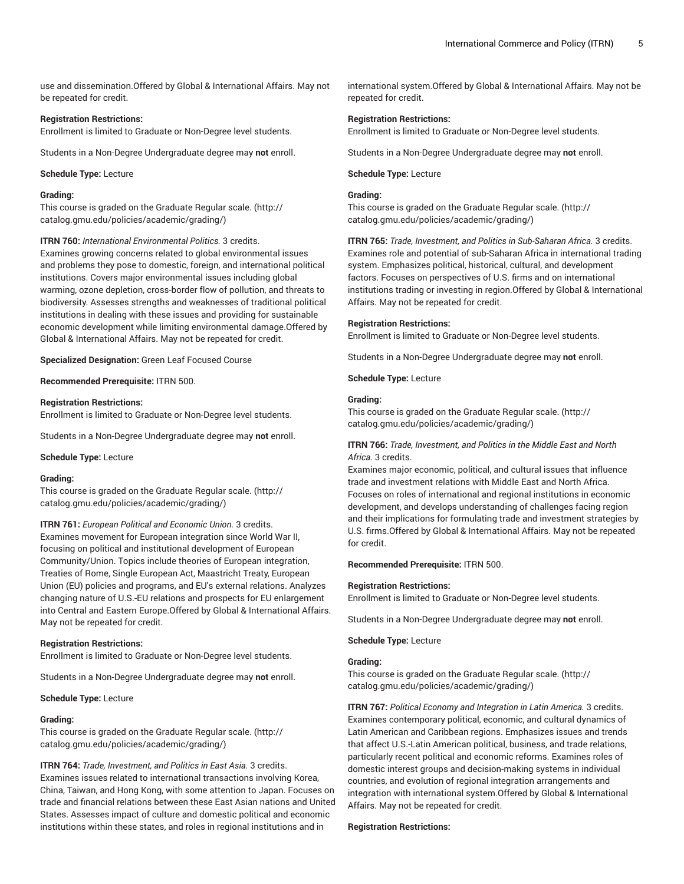use and dissemination.Offered by Global & International Affairs. May not be repeated for credit.

#### **Registration Restrictions:**

Enrollment is limited to Graduate or Non-Degree level students.

Students in a Non-Degree Undergraduate degree may **not** enroll.

#### **Schedule Type:** Lecture

## **Grading:**

This course is graded on the [Graduate Regular scale.](http://catalog.gmu.edu/policies/academic/grading/) [\(http://](http://catalog.gmu.edu/policies/academic/grading/) [catalog.gmu.edu/policies/academic/grading/\)](http://catalog.gmu.edu/policies/academic/grading/)

**ITRN 760:** *International Environmental Politics.* 3 credits.

Examines growing concerns related to global environmental issues and problems they pose to domestic, foreign, and international political institutions. Covers major environmental issues including global warming, ozone depletion, cross-border flow of pollution, and threats to biodiversity. Assesses strengths and weaknesses of traditional political institutions in dealing with these issues and providing for sustainable economic development while limiting environmental damage.Offered by Global & International Affairs. May not be repeated for credit.

**Specialized Designation:** Green Leaf Focused Course

**Recommended Prerequisite:** ITRN 500.

#### **Registration Restrictions:**

Enrollment is limited to Graduate or Non-Degree level students.

Students in a Non-Degree Undergraduate degree may **not** enroll.

#### **Schedule Type:** Lecture

#### **Grading:**

This course is graded on the [Graduate Regular scale.](http://catalog.gmu.edu/policies/academic/grading/) [\(http://](http://catalog.gmu.edu/policies/academic/grading/) [catalog.gmu.edu/policies/academic/grading/\)](http://catalog.gmu.edu/policies/academic/grading/)

**ITRN 761:** *European Political and Economic Union.* 3 credits. Examines movement for European integration since World War II, focusing on political and institutional development of European Community/Union. Topics include theories of European integration, Treaties of Rome, Single European Act, Maastricht Treaty, European Union (EU) policies and programs, and EU's external relations. Analyzes changing nature of U.S.-EU relations and prospects for EU enlargement into Central and Eastern Europe.Offered by Global & International Affairs. May not be repeated for credit.

#### **Registration Restrictions:**

Enrollment is limited to Graduate or Non-Degree level students.

Students in a Non-Degree Undergraduate degree may **not** enroll.

#### **Schedule Type:** Lecture

#### **Grading:**

This course is graded on the [Graduate Regular scale.](http://catalog.gmu.edu/policies/academic/grading/) [\(http://](http://catalog.gmu.edu/policies/academic/grading/) [catalog.gmu.edu/policies/academic/grading/\)](http://catalog.gmu.edu/policies/academic/grading/)

**ITRN 764:** *Trade, Investment, and Politics in East Asia.* 3 credits.

Examines issues related to international transactions involving Korea, China, Taiwan, and Hong Kong, with some attention to Japan. Focuses on trade and financial relations between these East Asian nations and United States. Assesses impact of culture and domestic political and economic institutions within these states, and roles in regional institutions and in

international system.Offered by Global & International Affairs. May not be repeated for credit.

#### **Registration Restrictions:**

Enrollment is limited to Graduate or Non-Degree level students.

Students in a Non-Degree Undergraduate degree may **not** enroll.

#### **Schedule Type:** Lecture

## **Grading:**

This course is graded on the [Graduate Regular scale.](http://catalog.gmu.edu/policies/academic/grading/) ([http://](http://catalog.gmu.edu/policies/academic/grading/) [catalog.gmu.edu/policies/academic/grading/](http://catalog.gmu.edu/policies/academic/grading/))

**ITRN 765:** *Trade, Investment, and Politics in Sub-Saharan Africa.* 3 credits. Examines role and potential of sub-Saharan Africa in international trading system. Emphasizes political, historical, cultural, and development factors. Focuses on perspectives of U.S. firms and on international institutions trading or investing in region.Offered by Global & International Affairs. May not be repeated for credit.

#### **Registration Restrictions:**

Enrollment is limited to Graduate or Non-Degree level students.

Students in a Non-Degree Undergraduate degree may **not** enroll.

**Schedule Type:** Lecture

#### **Grading:**

This course is graded on the [Graduate Regular scale.](http://catalog.gmu.edu/policies/academic/grading/) ([http://](http://catalog.gmu.edu/policies/academic/grading/) [catalog.gmu.edu/policies/academic/grading/](http://catalog.gmu.edu/policies/academic/grading/))

#### **ITRN 766:** *Trade, Investment, and Politics in the Middle East and North Africa.* 3 credits.

Examines major economic, political, and cultural issues that influence trade and investment relations with Middle East and North Africa. Focuses on roles of international and regional institutions in economic development, and develops understanding of challenges facing region and their implications for formulating trade and investment strategies by U.S. firms.Offered by Global & International Affairs. May not be repeated for credit.

**Recommended Prerequisite:** ITRN 500.

#### **Registration Restrictions:**

Enrollment is limited to Graduate or Non-Degree level students.

Students in a Non-Degree Undergraduate degree may **not** enroll.

**Schedule Type:** Lecture

## **Grading:**

This course is graded on the [Graduate Regular scale.](http://catalog.gmu.edu/policies/academic/grading/) ([http://](http://catalog.gmu.edu/policies/academic/grading/) [catalog.gmu.edu/policies/academic/grading/](http://catalog.gmu.edu/policies/academic/grading/))

**ITRN 767:** *Political Economy and Integration in Latin America.* 3 credits. Examines contemporary political, economic, and cultural dynamics of Latin American and Caribbean regions. Emphasizes issues and trends that affect U.S.-Latin American political, business, and trade relations, particularly recent political and economic reforms. Examines roles of domestic interest groups and decision-making systems in individual countries, and evolution of regional integration arrangements and integration with international system.Offered by Global & International Affairs. May not be repeated for credit.

#### **Registration Restrictions:**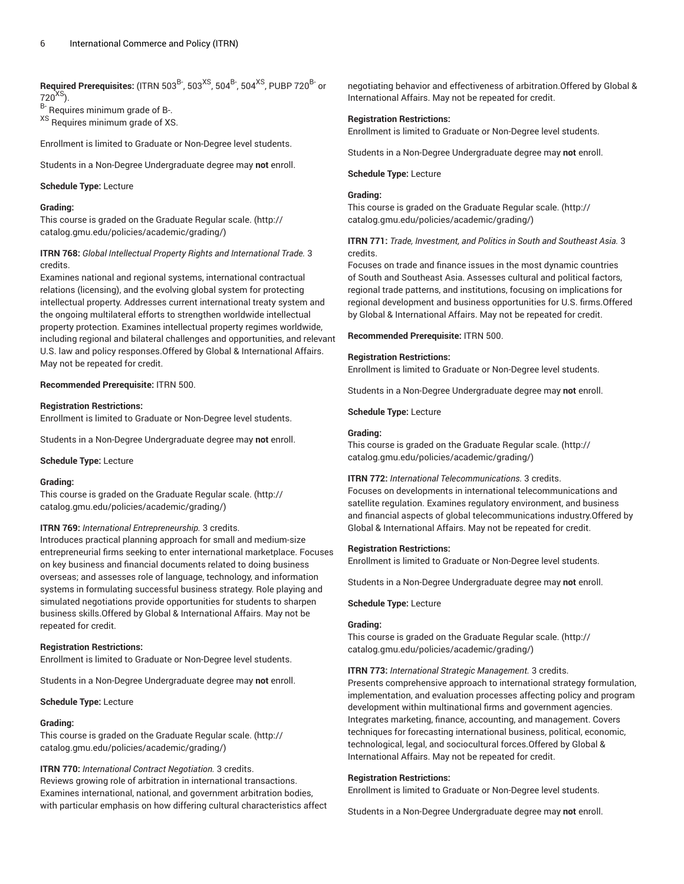**Required Prerequisites:** (ITRN 503<sup>B-</sup>, 503<sup>XS</sup>, 504<sup>B-</sup>, 504<sup>XS</sup>, PUBP 720<sup>B-</sup> or  $720^{XS}$ ).

B- Requires minimum grade of B-.

XS Requires minimum grade of XS.

Enrollment is limited to Graduate or Non-Degree level students.

Students in a Non-Degree Undergraduate degree may **not** enroll.

**Schedule Type:** Lecture

#### **Grading:**

This course is graded on the [Graduate Regular scale.](http://catalog.gmu.edu/policies/academic/grading/) [\(http://](http://catalog.gmu.edu/policies/academic/grading/) [catalog.gmu.edu/policies/academic/grading/\)](http://catalog.gmu.edu/policies/academic/grading/)

## **ITRN 768:** *Global Intellectual Property Rights and International Trade.* 3 credits.

Examines national and regional systems, international contractual relations (licensing), and the evolving global system for protecting intellectual property. Addresses current international treaty system and the ongoing multilateral efforts to strengthen worldwide intellectual property protection. Examines intellectual property regimes worldwide, including regional and bilateral challenges and opportunities, and relevant U.S. law and policy responses.Offered by Global & International Affairs. May not be repeated for credit.

## **Recommended Prerequisite:** ITRN 500.

## **Registration Restrictions:**

Enrollment is limited to Graduate or Non-Degree level students.

Students in a Non-Degree Undergraduate degree may **not** enroll.

#### **Schedule Type:** Lecture

## **Grading:**

This course is graded on the [Graduate Regular scale.](http://catalog.gmu.edu/policies/academic/grading/) [\(http://](http://catalog.gmu.edu/policies/academic/grading/) [catalog.gmu.edu/policies/academic/grading/\)](http://catalog.gmu.edu/policies/academic/grading/)

## **ITRN 769:** *International Entrepreneurship.* 3 credits.

Introduces practical planning approach for small and medium-size entrepreneurial firms seeking to enter international marketplace. Focuses on key business and financial documents related to doing business overseas; and assesses role of language, technology, and information systems in formulating successful business strategy. Role playing and simulated negotiations provide opportunities for students to sharpen business skills.Offered by Global & International Affairs. May not be repeated for credit.

## **Registration Restrictions:**

Enrollment is limited to Graduate or Non-Degree level students.

Students in a Non-Degree Undergraduate degree may **not** enroll.

**Schedule Type:** Lecture

#### **Grading:**

This course is graded on the [Graduate Regular scale.](http://catalog.gmu.edu/policies/academic/grading/) [\(http://](http://catalog.gmu.edu/policies/academic/grading/) [catalog.gmu.edu/policies/academic/grading/\)](http://catalog.gmu.edu/policies/academic/grading/)

## **ITRN 770:** *International Contract Negotiation.* 3 credits.

Reviews growing role of arbitration in international transactions. Examines international, national, and government arbitration bodies, with particular emphasis on how differing cultural characteristics affect negotiating behavior and effectiveness of arbitration.Offered by Global & International Affairs. May not be repeated for credit.

## **Registration Restrictions:**

Enrollment is limited to Graduate or Non-Degree level students.

Students in a Non-Degree Undergraduate degree may **not** enroll.

#### **Schedule Type:** Lecture

## **Grading:**

This course is graded on the [Graduate Regular scale.](http://catalog.gmu.edu/policies/academic/grading/) ([http://](http://catalog.gmu.edu/policies/academic/grading/) [catalog.gmu.edu/policies/academic/grading/](http://catalog.gmu.edu/policies/academic/grading/))

## **ITRN 771:** *Trade, Investment, and Politics in South and Southeast Asia.* 3 credits.

Focuses on trade and finance issues in the most dynamic countries of South and Southeast Asia. Assesses cultural and political factors, regional trade patterns, and institutions, focusing on implications for regional development and business opportunities for U.S. firms.Offered by Global & International Affairs. May not be repeated for credit.

**Recommended Prerequisite:** ITRN 500.

## **Registration Restrictions:**

Enrollment is limited to Graduate or Non-Degree level students.

Students in a Non-Degree Undergraduate degree may **not** enroll.

**Schedule Type:** Lecture

#### **Grading:**

This course is graded on the [Graduate Regular scale.](http://catalog.gmu.edu/policies/academic/grading/) ([http://](http://catalog.gmu.edu/policies/academic/grading/) [catalog.gmu.edu/policies/academic/grading/](http://catalog.gmu.edu/policies/academic/grading/))

## **ITRN 772:** *International Telecommunications.* 3 credits.

Focuses on developments in international telecommunications and satellite regulation. Examines regulatory environment, and business and financial aspects of global telecommunications industry.Offered by Global & International Affairs. May not be repeated for credit.

#### **Registration Restrictions:**

Enrollment is limited to Graduate or Non-Degree level students.

Students in a Non-Degree Undergraduate degree may **not** enroll.

## **Schedule Type:** Lecture

## **Grading:**

This course is graded on the [Graduate Regular scale.](http://catalog.gmu.edu/policies/academic/grading/) ([http://](http://catalog.gmu.edu/policies/academic/grading/) [catalog.gmu.edu/policies/academic/grading/](http://catalog.gmu.edu/policies/academic/grading/))

**ITRN 773:** *International Strategic Management.* 3 credits.

Presents comprehensive approach to international strategy formulation, implementation, and evaluation processes affecting policy and program development within multinational firms and government agencies. Integrates marketing, finance, accounting, and management. Covers techniques for forecasting international business, political, economic, technological, legal, and sociocultural forces.Offered by Global & International Affairs. May not be repeated for credit.

## **Registration Restrictions:**

Enrollment is limited to Graduate or Non-Degree level students.

Students in a Non-Degree Undergraduate degree may **not** enroll.